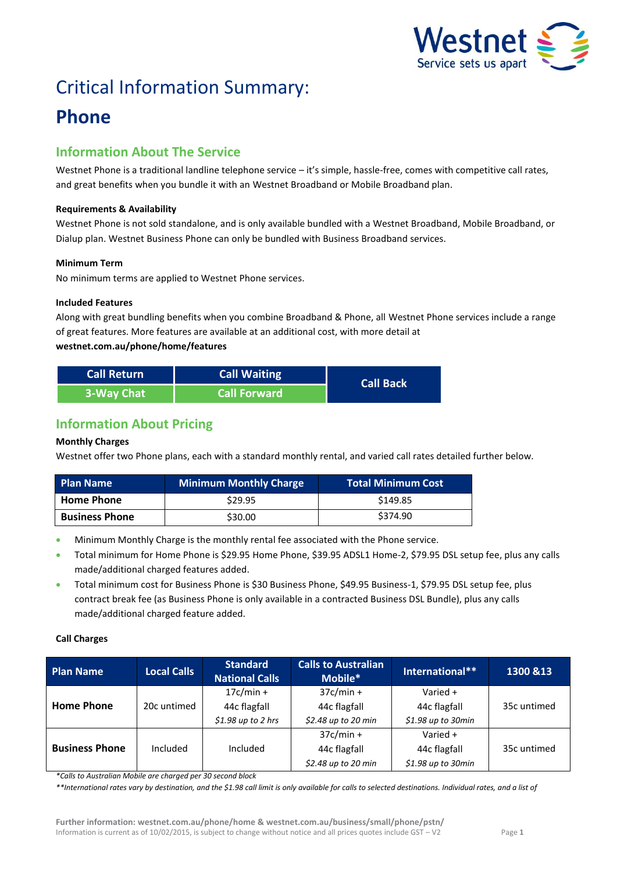

# Critical Information Summary:

## **Phone**

## **Information About The Service**

Westnet Phone is a traditional landline telephone service – it's simple, hassle-free, comes with competitive call rates, and great benefits when you bundle it with an Westnet Broadband or Mobile Broadband plan.

#### **Requirements & Availability**

Westnet Phone is not sold standalone, and is only available bundled with a Westnet Broadband, Mobile Broadband, or Dialup plan. Westnet Business Phone can only be bundled with Business Broadband services.

#### **Minimum Term**

No minimum terms are applied to Westnet Phone services.

#### **Included Features**

Along with great bundling benefits when you combine Broadband & Phone, all Westnet Phone services include a range of great features. More features are available at an additional cost, with more detail at **westnet.com.au/phone/home/features**

| <b>Call Return</b> | <b>Call Waiting</b> | <b>Call Back</b> |  |
|--------------------|---------------------|------------------|--|
| 3-Way Chat         | <b>Call Forward</b> |                  |  |

## **Information About Pricing**

#### **Monthly Charges**

Westnet offer two Phone plans, each with a standard monthly rental, and varied call rates detailed further below.

| <b>Plan Name</b>      | Minimum Monthly Charge | <b>Total Minimum Cost</b> |
|-----------------------|------------------------|---------------------------|
| <b>Home Phone</b>     | \$29.95                | \$149.85                  |
| <b>Business Phone</b> | \$30.00                | \$374.90                  |

- Minimum Monthly Charge is the monthly rental fee associated with the Phone service.
- Total minimum for Home Phone is \$29.95 Home Phone, \$39.95 ADSL1 Home-2, \$79.95 DSL setup fee, plus any calls made/additional charged features added.
- Total minimum cost for Business Phone is \$30 Business Phone, \$49.95 Business-1, \$79.95 DSL setup fee, plus contract break fee (as Business Phone is only available in a contracted Business DSL Bundle), plus any calls made/additional charged feature added.

#### **Call Charges**

| <b>Plan Name</b>      | <b>Local Calls</b> | <b>Standard</b><br><b>National Calls</b> | <b>Calls to Australian</b><br>Mobile* | International**     | 1300 & 13   |
|-----------------------|--------------------|------------------------------------------|---------------------------------------|---------------------|-------------|
|                       |                    | $17c/min +$                              | $37c/min +$                           | Varied $+$          |             |
| <b>Home Phone</b>     | 20c untimed        | 44c flagfall                             | 44c flagfall                          | 44c flagfall        | 35c untimed |
|                       |                    | $$1.98$ up to 2 hrs                      | \$2.48 up to 20 min                   | \$1.98 up to 30min  |             |
|                       |                    |                                          | $37c/min +$                           | Varied $+$          |             |
| <b>Business Phone</b> | Included           | Included                                 | 44c flagfall                          | 44c flagfall        | 35c untimed |
|                       |                    |                                          | $$2.48$ up to 20 min                  | $$1.98$ up to 30min |             |

*\*Calls to Australian Mobile are charged per 30 second block* 

*\*\*International rates vary by destination, and the \$1.98 call limit is only available for calls to selected destinations. Individual rates, and a list of*